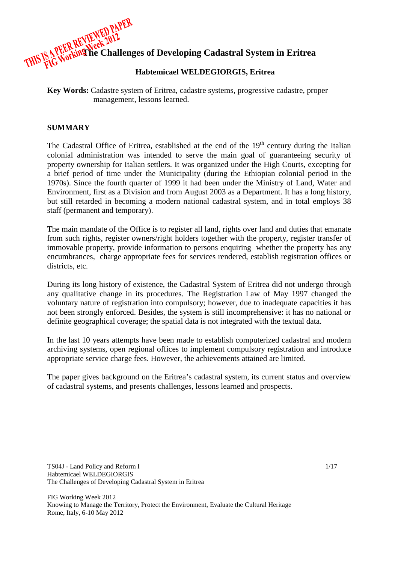

### **Habtemicael WELDEGIORGIS, Eritrea**

**Key Words:** Cadastre system of Eritrea, cadastre systems, progressive cadastre, proper management, lessons learned.

#### **SUMMARY**

The Cadastral Office of Eritrea, established at the end of the  $19<sup>th</sup>$  century during the Italian colonial administration was intended to serve the main goal of guaranteeing security of property ownership for Italian settlers. It was organized under the High Courts, excepting for a brief period of time under the Municipality (during the Ethiopian colonial period in the 1970s). Since the fourth quarter of 1999 it had been under the Ministry of Land, Water and Environment, first as a Division and from August 2003 as a Department. It has a long history, but still retarded in becoming a modern national cadastral system, and in total employs 38 staff (permanent and temporary).

The main mandate of the Office is to register all land, rights over land and duties that emanate from such rights, register owners/right holders together with the property, register transfer of immovable property, provide information to persons enquiring whether the property has any encumbrances, charge appropriate fees for services rendered, establish registration offices or districts, etc.

During its long history of existence, the Cadastral System of Eritrea did not undergo through any qualitative change in its procedures. The Registration Law of May 1997 changed the voluntary nature of registration into compulsory; however, due to inadequate capacities it has not been strongly enforced. Besides, the system is still incomprehensive: it has no national or definite geographical coverage; the spatial data is not integrated with the textual data.

In the last 10 years attempts have been made to establish computerized cadastral and modern archiving systems, open regional offices to implement compulsory registration and introduce appropriate service charge fees. However, the achievements attained are limited.

The paper gives background on the Eritrea's cadastral system, its current status and overview of cadastral systems, and presents challenges, lessons learned and prospects.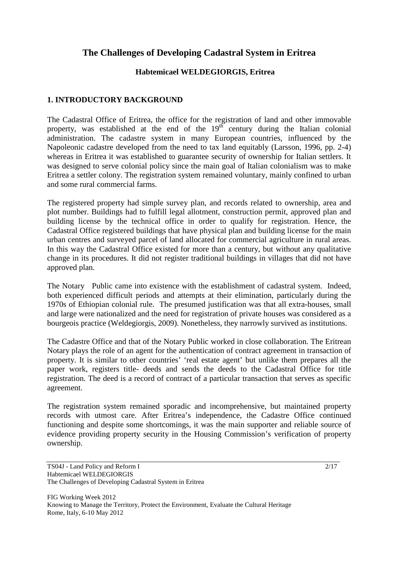# **The Challenges of Developing Cadastral System in Eritrea**

# **Habtemicael WELDEGIORGIS, Eritrea**

# **1. INTRODUCTORY BACKGROUND**

The Cadastral Office of Eritrea, the office for the registration of land and other immovable property, was established at the end of the  $19<sup>th</sup>$  century during the Italian colonial administration. The cadastre system in many European countries, influenced by the Napoleonic cadastre developed from the need to tax land equitably (Larsson, 1996, pp. 2-4) whereas in Eritrea it was established to guarantee security of ownership for Italian settlers. It was designed to serve colonial policy since the main goal of Italian colonialism was to make Eritrea a settler colony. The registration system remained voluntary, mainly confined to urban and some rural commercial farms.

The registered property had simple survey plan, and records related to ownership, area and plot number. Buildings had to fulfill legal allotment, construction permit, approved plan and building license by the technical office in order to qualify for registration. Hence, the Cadastral Office registered buildings that have physical plan and building license for the main urban centres and surveyed parcel of land allocated for commercial agriculture in rural areas. In this way the Cadastral Office existed for more than a century, but without any qualitative change in its procedures. It did not register traditional buildings in villages that did not have approved plan.

The Notary Public came into existence with the establishment of cadastral system. Indeed, both experienced difficult periods and attempts at their elimination, particularly during the 1970s of Ethiopian colonial rule. The presumed justification was that all extra-houses, small and large were nationalized and the need for registration of private houses was considered as a bourgeois practice (Weldegiorgis, 2009). Nonetheless, they narrowly survived as institutions.

The Cadastre Office and that of the Notary Public worked in close collaboration. The Eritrean Notary plays the role of an agent for the authentication of contract agreement in transaction of property. It is similar to other countries' 'real estate agent' but unlike them prepares all the paper work, registers title- deeds and sends the deeds to the Cadastral Office for title registration. The deed is a record of contract of a particular transaction that serves as specific agreement.

The registration system remained sporadic and incomprehensive, but maintained property records with utmost care. After Eritrea's independence, the Cadastre Office continued functioning and despite some shortcomings, it was the main supporter and reliable source of evidence providing property security in the Housing Commission's verification of property ownership.

TS04J - Land Policy and Reform I Habtemicael WELDEGIORGIS The Challenges of Developing Cadastral System in Eritrea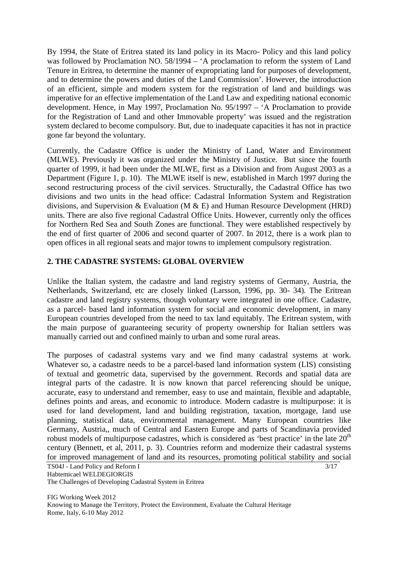By 1994, the State of Eritrea stated its land policy in its Macro- Policy and this land policy was followed by Proclamation NO. 58/1994 – 'A proclamation to reform the system of Land Tenure in Eritrea, to determine the manner of expropriating land for purposes of development, and to determine the powers and duties of the Land Commission'. However, the introduction of an efficient, simple and modern system for the registration of land and buildings was imperative for an effective implementation of the Land Law and expediting national economic development. Hence, in May 1997, Proclamation No. 95/1997 – 'A Proclamation to provide for the Registration of Land and other Immovable property' was issued and the registration system declared to become compulsory. But, due to inadequate capacities it has not in practice gone far beyond the voluntary.

Currently, the Cadastre Office is under the Ministry of Land, Water and Environment (MLWE). Previously it was organized under the Ministry of Justice. But since the fourth quarter of 1999, it had been under the MLWE, first as a Division and from August 2003 as a Department (Figure 1, p. 10). The MLWE itself is new, established in March 1997 during the second restructuring process of the civil services. Structurally, the Cadastral Office has two divisions and two units in the head office: Cadastral Information System and Registration divisions, and Supervision & Evaluation (M & E) and Human Resource Development (HRD) units. There are also five regional Cadastral Office Units. However, currently only the offices for Northern Red Sea and South Zones are functional. They were established respectively by the end of first quarter of 2006 and second quarter of 2007. In 2012, there is a work plan to open offices in all regional seats and major towns to implement compulsory registration.

# **2. THE CADASTRE SYSTEMS: GLOBAL OVERVIEW**

Unlike the Italian system, the cadastre and land registry systems of Germany, Austria, the Netherlands, Switzerland, etc are closely linked (Larsson, 1996, pp. 30- 34). The Eritrean cadastre and land registry systems, though voluntary were integrated in one office. Cadastre, as a parcel- based land information system for social and economic development, in many European countries developed from the need to tax land equitably. The Eritrean system, with the main purpose of guaranteeing security of property ownership for Italian settlers was manually carried out and confined mainly to urban and some rural areas.

The purposes of cadastral systems vary and we find many cadastral systems at work. Whatever so, a cadastre needs to be a parcel-based land information system (LIS) consisting of textual and geometric data, supervised by the government. Records and spatial data are integral parts of the cadastre. It is now known that parcel referencing should be unique, accurate, easy to understand and remember, easy to use and maintain, flexible and adaptable, defines points and areas, and economic to introduce. Modern cadastre is multipurpose: it is used for land development, land and building registration, taxation, mortgage, land use planning, statistical data, environmental management. Many European countries like Germany, Austria,, much of Central and Eastern Europe and parts of Scandinavia provided robust models of multipurpose cadastres, which is considered as 'best practice' in the late  $20<sup>th</sup>$ century (Bennett, et al, 2011, p. 3). Countries reform and modernize their cadastral systems for improved management of land and its resources, promoting political stability and social

TS04J - Land Policy and Reform I

Habtemicael WELDEGIORGIS

The Challenges of Developing Cadastral System in Eritrea

FIG Working Week 2012 Knowing to Manage the Territory, Protect the Environment, Evaluate the Cultural Heritage Rome, Italy, 6-10 May 2012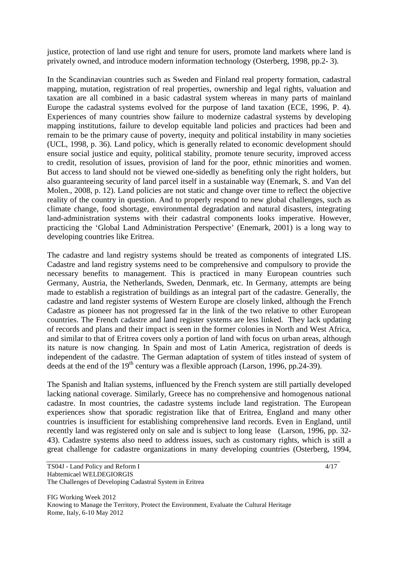justice, protection of land use right and tenure for users, promote land markets where land is privately owned, and introduce modern information technology (Osterberg, 1998, pp.2- 3).

In the Scandinavian countries such as Sweden and Finland real property formation, cadastral mapping, mutation, registration of real properties, ownership and legal rights, valuation and taxation are all combined in a basic cadastral system whereas in many parts of mainland Europe the cadastral systems evolved for the purpose of land taxation (ECE, 1996, P. 4). Experiences of many countries show failure to modernize cadastral systems by developing mapping institutions, failure to develop equitable land policies and practices had been and remain to be the primary cause of poverty, inequity and political instability in many societies (UCL, 1998, p. 36). Land policy, which is generally related to economic development should ensure social justice and equity, political stability, promote tenure security, improved access to credit, resolution of issues, provision of land for the poor, ethnic minorities and women. But access to land should not be viewed one-sidedly as benefiting only the right holders, but also guaranteeing security of land parcel itself in a sustainable way (Enemark, S. and Van del Molen., 2008, p. 12). Land policies are not static and change over time to reflect the objective reality of the country in question. And to properly respond to new global challenges, such as climate change, food shortage, environmental degradation and natural disasters, integrating land-administration systems with their cadastral components looks imperative. However, practicing the 'Global Land Administration Perspective' (Enemark, 2001) is a long way to developing countries like Eritrea.

The cadastre and land registry systems should be treated as components of integrated LIS. Cadastre and land registry systems need to be comprehensive and compulsory to provide the necessary benefits to management. This is practiced in many European countries such Germany, Austria, the Netherlands, Sweden, Denmark, etc. In Germany, attempts are being made to establish a registration of buildings as an integral part of the cadastre. Generally, the cadastre and land register systems of Western Europe are closely linked, although the French Cadastre as pioneer has not progressed far in the link of the two relative to other European countries. The French cadastre and land register systems are less linked. They lack updating of records and plans and their impact is seen in the former colonies in North and West Africa, and similar to that of Eritrea covers only a portion of land with focus on urban areas, although its nature is now changing. In Spain and most of Latin America, registration of deeds is independent of the cadastre. The German adaptation of system of titles instead of system of deeds at the end of the 19<sup>th</sup> century was a flexible approach (Larson, 1996, pp.24-39).

The Spanish and Italian systems, influenced by the French system are still partially developed lacking national coverage. Similarly, Greece has no comprehensive and homogenous national cadastre. In most countries, the cadastre systems include land registration. The European experiences show that sporadic registration like that of Eritrea, England and many other countries is insufficient for establishing comprehensive land records. Even in England, until recently land was registered only on sale and is subject to long lease (Larson, 1996, pp. 32- 43). Cadastre systems also need to address issues, such as customary rights, which is still a great challenge for cadastre organizations in many developing countries (Osterberg, 1994,

FIG Working Week 2012 Knowing to Manage the Territory, Protect the Environment, Evaluate the Cultural Heritage Rome, Italy, 6-10 May 2012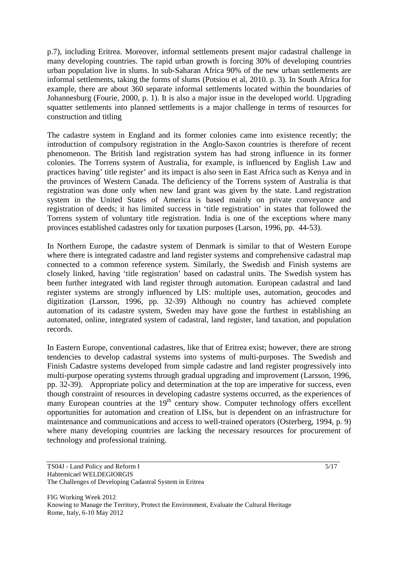p.7), including Eritrea. Moreover, informal settlements present major cadastral challenge in many developing countries. The rapid urban growth is forcing 30% of developing countries urban population live in slums. In sub-Saharan Africa 90% of the new urban settlements are informal settlements, taking the forms of slums (Potsiou et al, 2010. p. 3). In South Africa for example, there are about 360 separate informal settlements located within the boundaries of Johannesburg (Fourie, 2000, p. 1). It is also a major issue in the developed world. Upgrading squatter settlements into planned settlements is a major challenge in terms of resources for construction and titling

The cadastre system in England and its former colonies came into existence recently; the introduction of compulsory registration in the Anglo-Saxon countries is therefore of recent phenomenon. The British land registration system has had strong influence in its former colonies. The Torrens system of Australia, for example, is influenced by English Law and practices having' title register' and its impact is also seen in East Africa such as Kenya and in the provinces of Western Canada. The deficiency of the Torrens system of Australia is that registration was done only when new land grant was given by the state. Land registration system in the United States of America is based mainly on private conveyance and registration of deeds; it has limited success in 'title registration' in states that followed the Torrens system of voluntary title registration. India is one of the exceptions where many provinces established cadastres only for taxation purposes (Larson, 1996, pp. 44-53).

In Northern Europe, the cadastre system of Denmark is similar to that of Western Europe where there is integrated cadastre and land register systems and comprehensive cadastral map connected to a common reference system. Similarly, the Swedish and Finish systems are closely linked, having 'title registration' based on cadastral units. The Swedish system has been further integrated with land register through automation. European cadastral and land register systems are strongly influenced by LIS: multiple uses, automation, geocodes and digitization (Larsson, 1996, pp. 32-39) Although no country has achieved complete automation of its cadastre system, Sweden may have gone the furthest in establishing an automated, online, integrated system of cadastral, land register, land taxation, and population records.

In Eastern Europe, conventional cadastres, like that of Eritrea exist; however, there are strong tendencies to develop cadastral systems into systems of multi-purposes. The Swedish and Finish Cadastre systems developed from simple cadastre and land register progressively into multi-purpose operating systems through gradual upgrading and improvement (Larsson, 1996, pp. 32-39). Appropriate policy and determination at the top are imperative for success, even though constraint of resources in developing cadastre systems occurred, as the experiences of many European countries at the  $19<sup>th</sup>$  century show. Computer technology offers excellent opportunities for automation and creation of LISs, but is dependent on an infrastructure for maintenance and communications and access to well-trained operators (Osterberg, 1994, p. 9) where many developing countries are lacking the necessary resources for procurement of technology and professional training.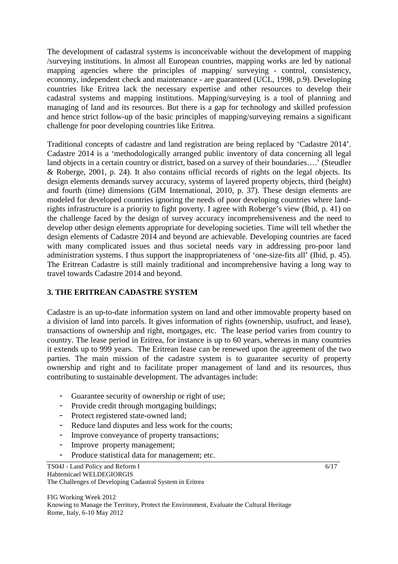The development of cadastral systems is inconceivable without the development of mapping /surveying institutions. In almost all European countries, mapping works are led by national mapping agencies where the principles of mapping/ surveying - control, consistency, economy, independent check and maintenance - are guaranteed (UCL, 1998, p.9). Developing countries like Eritrea lack the necessary expertise and other resources to develop their cadastral systems and mapping institutions. Mapping/surveying is a tool of planning and managing of land and its resources. But there is a gap for technology and skilled profession and hence strict follow-up of the basic principles of mapping/surveying remains a significant challenge for poor developing countries like Eritrea.

Traditional concepts of cadastre and land registration are being replaced by 'Cadastre 2014'. Cadastre 2014 is a 'methodologically arranged public inventory of data concerning all legal land objects in a certain country or district, based on a survey of their boundaries….' (Steudler & Roberge, 2001, p. 24). It also contains official records of rights on the legal objects. Its design elements demands survey accuracy, systems of layered property objects, third (height) and fourth (time) dimensions (GIM International, 2010, p. 37). These design elements are modeled for developed countries ignoring the needs of poor developing countries where landrights infrastructure is a priority to fight poverty. I agree with Roberge's view (Ibid, p. 41) on the challenge faced by the design of survey accuracy incomprehensiveness and the need to develop other design elements appropriate for developing societies. Time will tell whether the design elements of Cadastre 2014 and beyond are achievable. Developing countries are faced with many complicated issues and thus societal needs vary in addressing pro-poor land administration systems. I thus support the inappropriateness of 'one-size-fits all' (Ibid, p. 45). The Eritrean Cadastre is still mainly traditional and incomprehensive having a long way to travel towards Cadastre 2014 and beyond.

# **3. THE ERITREAN CADASTRE SYSTEM**

Cadastre is an up-to-date information system on land and other immovable property based on a division of land into parcels. It gives information of rights (ownership, usufruct, and lease), transactions of ownership and right, mortgages, etc. The lease period varies from country to country. The lease period in Eritrea, for instance is up to 60 years, whereas in many countries it extends up to 999 years. The Eritrean lease can be renewed upon the agreement of the two parties. The main mission of the cadastre system is to guarantee security of property ownership and right and to facilitate proper management of land and its resources, thus contributing to sustainable development. The advantages include:

- Guarantee security of ownership or right of use;
- Provide credit through mortgaging buildings;
- Protect registered state-owned land;
- Reduce land disputes and less work for the courts;
- Improve conveyance of property transactions;
- Improve property management;
- Produce statistical data for management; etc.

TS04J - Land Policy and Reform I Habtemicael WELDEGIORGIS The Challenges of Developing Cadastral System in Eritrea

FIG Working Week 2012 Knowing to Manage the Territory, Protect the Environment, Evaluate the Cultural Heritage Rome, Italy, 6-10 May 2012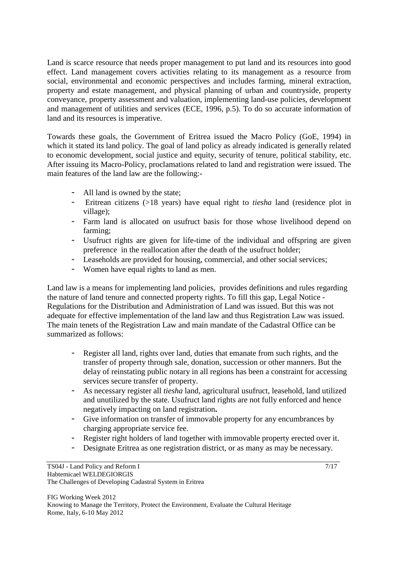Land is scarce resource that needs proper management to put land and its resources into good effect. Land management covers activities relating to its management as a resource from social, environmental and economic perspectives and includes farming, mineral extraction, property and estate management, and physical planning of urban and countryside, property conveyance, property assessment and valuation, implementing land-use policies, development and management of utilities and services (ECE, 1996, p.5). To do so accurate information of land and its resources is imperative.

Towards these goals, the Government of Eritrea issued the Macro Policy (GoE, 1994) in which it stated its land policy. The goal of land policy as already indicated is generally related to economic development, social justice and equity, security of tenure, political stability, etc. After issuing its Macro-Policy, proclamations related to land and registration were issued. The main features of the land law are the following:-

- All land is owned by the state;
- Eritrean citizens (>18 years) have equal right to *tiesha* land (residence plot in village);
- Farm land is allocated on usufruct basis for those whose livelihood depend on farming;
- Usufruct rights are given for life-time of the individual and offspring are given preference in the reallocation after the death of the usufruct holder;
- Leaseholds are provided for housing, commercial, and other social services;
- Women have equal rights to land as men.

Land law is a means for implementing land policies, provides definitions and rules regarding the nature of land tenure and connected property rights. To fill this gap, Legal Notice - Regulations for the Distribution and Administration of Land was issued. But this was not adequate for effective implementation of the land law and thus Registration Law was issued. The main tenets of the Registration Law and main mandate of the Cadastral Office can be summarized as follows:

- Register all land, rights over land, duties that emanate from such rights, and the transfer of property through sale, donation, succession or other manners. But the delay of reinstating public notary in all regions has been a constraint for accessing services secure transfer of property.
- As necessary register all *tiesha* land, agricultural usufruct, leasehold, land utilized and unutilized by the state. Usufruct land rights are not fully enforced and hence negatively impacting on land registration**.**
- Give information on transfer of immovable property for any encumbrances by charging appropriate service fee.
- Register right holders of land together with immovable property erected over it.
- Designate Eritrea as one registration district, or as many as may be necessary.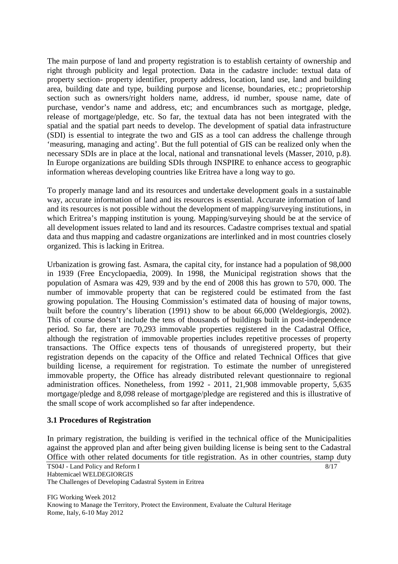The main purpose of land and property registration is to establish certainty of ownership and right through publicity and legal protection. Data in the cadastre include: textual data of property section- property identifier, property address, location, land use, land and building area, building date and type, building purpose and license, boundaries, etc.; proprietorship section such as owners/right holders name, address, id number, spouse name, date of purchase, vendor's name and address, etc; and encumbrances such as mortgage, pledge, release of mortgage/pledge, etc. So far, the textual data has not been integrated with the spatial and the spatial part needs to develop. The development of spatial data infrastructure (SDI) is essential to integrate the two and GIS as a tool can address the challenge through 'measuring, managing and acting'. But the full potential of GIS can be realized only when the necessary SDIs are in place at the local, national and transnational levels (Masser, 2010, p.8). In Europe organizations are building SDIs through INSPIRE to enhance access to geographic information whereas developing countries like Eritrea have a long way to go.

To properly manage land and its resources and undertake development goals in a sustainable way, accurate information of land and its resources is essential. Accurate information of land and its resources is not possible without the development of mapping/surveying institutions, in which Eritrea's mapping institution is young. Mapping/surveying should be at the service of all development issues related to land and its resources. Cadastre comprises textual and spatial data and thus mapping and cadastre organizations are interlinked and in most countries closely organized. This is lacking in Eritrea.

Urbanization is growing fast. Asmara, the capital city, for instance had a population of 98,000 in 1939 (Free Encyclopaedia, 2009). In 1998, the Municipal registration shows that the population of Asmara was 429, 939 and by the end of 2008 this has grown to 570, 000. The number of immovable property that can be registered could be estimated from the fast growing population. The Housing Commission's estimated data of housing of major towns, built before the country's liberation (1991) show to be about 66,000 (Weldegiorgis, 2002). This of course doesn't include the tens of thousands of buildings built in post-independence period. So far, there are 70,293 immovable properties registered in the Cadastral Office, although the registration of immovable properties includes repetitive processes of property transactions. The Office expects tens of thousands of unregistered property, but their registration depends on the capacity of the Office and related Technical Offices that give building license, a requirement for registration. To estimate the number of unregistered immovable property, the Office has already distributed relevant questionnaire to regional administration offices. Nonetheless, from 1992 - 2011, 21,908 immovable property, 5,635 mortgage/pledge and 8,098 release of mortgage/pledge are registered and this is illustrative of the small scope of work accomplished so far after independence.

#### **3.1 Procedures of Registration**

In primary registration, the building is verified in the technical office of the Municipalities against the approved plan and after being given building license is being sent to the Cadastral Office with other related documents for title registration. As in other countries, stamp duty

TS04J - Land Policy and Reform I Habtemicael WELDEGIORGIS The Challenges of Developing Cadastral System in Eritrea 8/17

FIG Working Week 2012 Knowing to Manage the Territory, Protect the Environment, Evaluate the Cultural Heritage Rome, Italy, 6-10 May 2012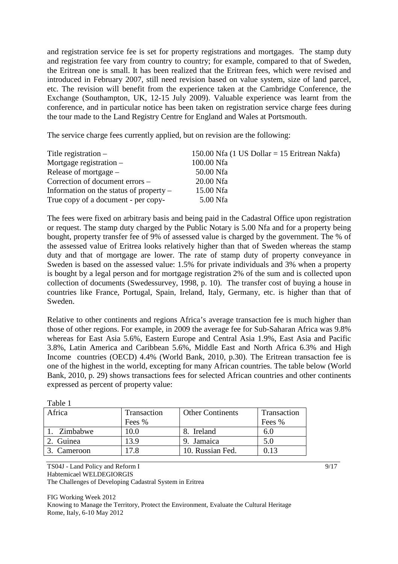and registration service fee is set for property registrations and mortgages. The stamp duty and registration fee vary from country to country; for example, compared to that of Sweden, the Eritrean one is small. It has been realized that the Eritrean fees, which were revised and introduced in February 2007, still need revision based on value system, size of land parcel, etc. The revision will benefit from the experience taken at the Cambridge Conference, the Exchange (Southampton, UK, 12-15 July 2009). Valuable experience was learnt from the conference, and in particular notice has been taken on registration service charge fees during the tour made to the Land Registry Centre for England and Wales at Portsmouth.

The service charge fees currently applied, but on revision are the following:

| Title registration $-$                    | 150.00 Nfa (1 US Dollar = 15 Eritrean Nakfa) |
|-------------------------------------------|----------------------------------------------|
| Mortgage registration $-$                 | 100.00 Nfa                                   |
| Release of mortgage $-$                   | 50.00 Nfa                                    |
| Correction of document errors –           | 20.00 Nfa                                    |
| Information on the status of property $-$ | 15.00 Nfa                                    |
| True copy of a document - per copy-       | 5.00 Nfa                                     |

The fees were fixed on arbitrary basis and being paid in the Cadastral Office upon registration or request. The stamp duty charged by the Public Notary is 5.00 Nfa and for a property being bought, property transfer fee of 9% of assessed value is charged by the government. The % of the assessed value of Eritrea looks relatively higher than that of Sweden whereas the stamp duty and that of mortgage are lower. The rate of stamp duty of property conveyance in Sweden is based on the assessed value: 1.5% for private individuals and 3% when a property is bought by a legal person and for mortgage registration 2% of the sum and is collected upon collection of documents (Swedessurvey, 1998, p. 10). The transfer cost of buying a house in countries like France, Portugal, Spain, Ireland, Italy, Germany, etc. is higher than that of Sweden.

Relative to other continents and regions Africa's average transaction fee is much higher than those of other regions. For example, in 2009 the average fee for Sub-Saharan Africa was 9.8% whereas for East Asia 5.6%, Eastern Europe and Central Asia 1.9%, East Asia and Pacific 3.8%, Latin America and Caribbean 5.6%, Middle East and North Africa 6.3% and High Income countries (OECD) 4.4% (World Bank, 2010, p.30). The Eritrean transaction fee is one of the highest in the world, excepting for many African countries. The table below (World Bank, 2010, p. 29) shows transactions fees for selected African countries and other continents expressed as percent of property value:

| 1 avit 1    |             |                         |             |
|-------------|-------------|-------------------------|-------------|
| Africa      | Transaction | <b>Other Continents</b> | Transaction |
|             | Fees %      |                         | Fees %      |
| Zimbabwe    | 10.0        | 8. Ireland              | 6.U         |
| Guinea      | 13.9        | 9. Jamaica              | 5.0         |
| 3. Cameroon | 7.8         | 10. Russian Fed.        |             |
|             |             |                         |             |

Table 1

TS04J - Land Policy and Reform I Habtemicael WELDEGIORGIS The Challenges of Developing Cadastral System in Eritrea

FIG Working Week 2012 Knowing to Manage the Territory, Protect the Environment, Evaluate the Cultural Heritage Rome, Italy, 6-10 May 2012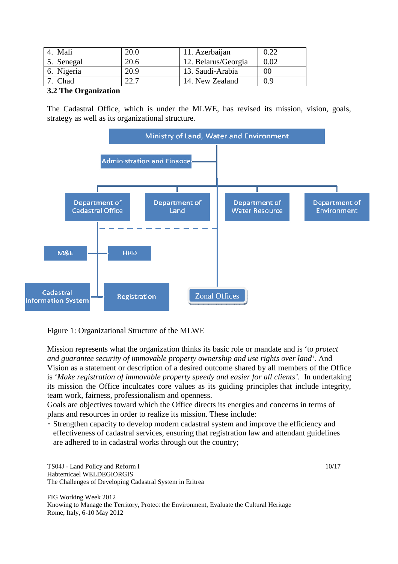| Mali       | 20.0 | 11. Azerbaijan      | 0.22 |
|------------|------|---------------------|------|
| 5. Senegal | 20.6 | 12. Belarus/Georgia | 0.02 |
| 6. Nigeria | 20.9 | 13. Saudi-Arabia    | 00   |
| Chad       | 22.7 | 14. New Zealand     | 0.9  |

#### **3.2 The Organization**

The Cadastral Office, which is under the MLWE, has revised its mission, vision, goals, strategy as well as its organizational structure.



Figure 1: Organizational Structure of the MLWE

Mission represents what the organization thinks its basic role or mandate and is 'to *protect and guarantee security of immovable property ownership and use rights over land'.* And Vision as a statement or description of a desired outcome shared by all members of the Office is '*Make registration of immovable property speedy and easier for all clients'.* In undertaking its mission the Office inculcates core values as its guiding principles that include integrity, team work, fairness, professionalism and openness.

Goals are objectives toward which the Office directs its energies and concerns in terms of plans and resources in order to realize its mission. These include:

- Strengthen capacity to develop modern cadastral system and improve the efficiency and effectiveness of cadastral services, ensuring that registration law and attendant guidelines are adhered to in cadastral works through out the country;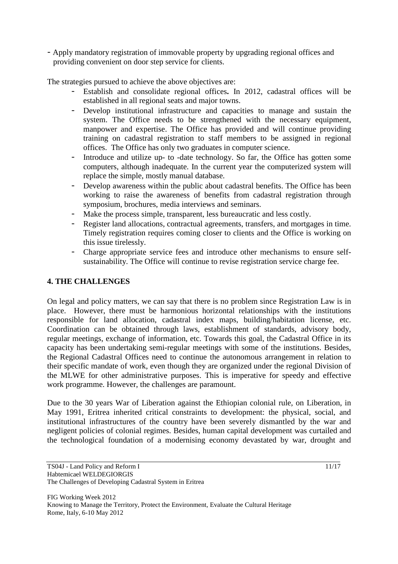- Apply mandatory registration of immovable property by upgrading regional offices and providing convenient on door step service for clients.

The strategies pursued to achieve the above objectives are:

- Establish and consolidate regional offices**.** In 2012, cadastral offices will be established in all regional seats and major towns.
- Develop institutional infrastructure and capacities to manage and sustain the system. The Office needs to be strengthened with the necessary equipment, manpower and expertise. The Office has provided and will continue providing training on cadastral registration to staff members to be assigned in regional offices. The Office has only two graduates in computer science.
- Introduce and utilize up- to -date technology. So far, the Office has gotten some computers, although inadequate. In the current year the computerized system will replace the simple, mostly manual database.
- Develop awareness within the public about cadastral benefits. The Office has been working to raise the awareness of benefits from cadastral registration through symposium, brochures, media interviews and seminars.
- Make the process simple, transparent, less bureaucratic and less costly.
- Register land allocations, contractual agreements, transfers, and mortgages in time. Timely registration requires coming closer to clients and the Office is working on this issue tirelessly.
- Charge appropriate service fees and introduce other mechanisms to ensure selfsustainability. The Office will continue to revise registration service charge fee.

# **4. THE CHALLENGES**

On legal and policy matters, we can say that there is no problem since Registration Law is in place. However, there must be harmonious horizontal relationships with the institutions responsible for land allocation, cadastral index maps, building/habitation license, etc. Coordination can be obtained through laws, establishment of standards, advisory body, regular meetings, exchange of information, etc. Towards this goal, the Cadastral Office in its capacity has been undertaking semi-regular meetings with some of the institutions. Besides, the Regional Cadastral Offices need to continue the autonomous arrangement in relation to their specific mandate of work, even though they are organized under the regional Division of the MLWE for other administrative purposes. This is imperative for speedy and effective work programme. However, the challenges are paramount.

Due to the 30 years War of Liberation against the Ethiopian colonial rule, on Liberation, in May 1991, Eritrea inherited critical constraints to development: the physical, social, and institutional infrastructures of the country have been severely dismantled by the war and negligent policies of colonial regimes. Besides, human capital development was curtailed and the technological foundation of a modernising economy devastated by war, drought and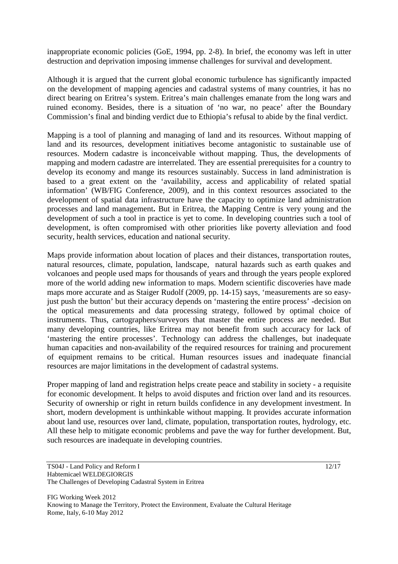inappropriate economic policies (GoE, 1994, pp. 2-8). In brief, the economy was left in utter destruction and deprivation imposing immense challenges for survival and development.

Although it is argued that the current global economic turbulence has significantly impacted on the development of mapping agencies and cadastral systems of many countries, it has no direct bearing on Eritrea's system. Eritrea's main challenges emanate from the long wars and ruined economy. Besides, there is a situation of 'no war, no peace' after the Boundary Commission's final and binding verdict due to Ethiopia's refusal to abide by the final verdict.

Mapping is a tool of planning and managing of land and its resources. Without mapping of land and its resources, development initiatives become antagonistic to sustainable use of resources. Modern cadastre is inconceivable without mapping. Thus, the developments of mapping and modern cadastre are interrelated. They are essential prerequisites for a country to develop its economy and mange its resources sustainably. Success in land administration is based to a great extent on the 'availability, access and applicability of related spatial information' (WB/FIG Conference, 2009), and in this context resources associated to the development of spatial data infrastructure have the capacity to optimize land administration processes and land management**.** But in Eritrea, the Mapping Centre is very young and the development of such a tool in practice is yet to come. In developing countries such a tool of development, is often compromised with other priorities like poverty alleviation and food security, health services, education and national security.

Maps provide information about location of places and their distances, transportation routes, natural resources, climate, population, landscape, natural hazards such as earth quakes and volcanoes and people used maps for thousands of years and through the years people explored more of the world adding new information to maps. Modern scientific discoveries have made maps more accurate and as Staiger Rudolf (2009, pp. 14-15) says, 'measurements are so easyjust push the button' but their accuracy depends on 'mastering the entire process' -decision on the optical measurements and data processing strategy, followed by optimal choice of instruments. Thus, cartographers/surveyors that master the entire process are needed. But many developing countries, like Eritrea may not benefit from such accuracy for lack of 'mastering the entire processes'. Technology can address the challenges, but inadequate human capacities and non-availability of the required resources for training and procurement of equipment remains to be critical. Human resources issues and inadequate financial resources are major limitations in the development of cadastral systems.

Proper mapping of land and registration helps create peace and stability in society - a requisite for economic development. It helps to avoid disputes and friction over land and its resources. Security of ownership or right in return builds confidence in any development investment. In short, modern development is unthinkable without mapping. It provides accurate information about land use, resources over land, climate, population, transportation routes, hydrology, etc. All these help to mitigate economic problems and pave the way for further development. But, such resources are inadequate in developing countries.

TS04J - Land Policy and Reform I Habtemicael WELDEGIORGIS The Challenges of Developing Cadastral System in Eritrea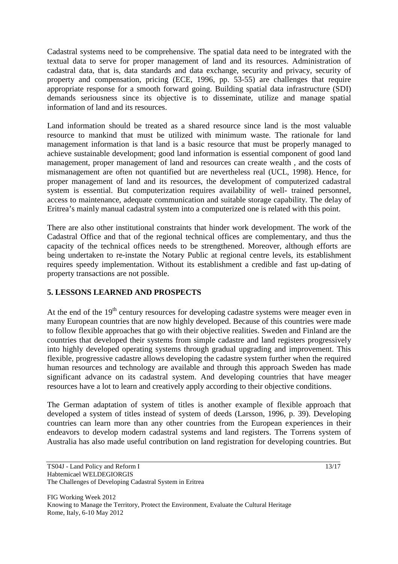Cadastral systems need to be comprehensive. The spatial data need to be integrated with the textual data to serve for proper management of land and its resources. Administration of cadastral data, that is, data standards and data exchange, security and privacy, security of property and compensation, pricing (ECE, 1996, pp. 53-55) are challenges that require appropriate response for a smooth forward going. Building spatial data infrastructure (SDI) demands seriousness since its objective is to disseminate, utilize and manage spatial information of land and its resources.

Land information should be treated as a shared resource since land is the most valuable resource to mankind that must be utilized with minimum waste. The rationale for land management information is that land is a basic resource that must be properly managed to achieve sustainable development; good land information is essential component of good land management, proper management of land and resources can create wealth , and the costs of mismanagement are often not quantified but are nevertheless real (UCL, 1998). Hence, for proper management of land and its resources, the development of computerized cadastral system is essential. But computerization requires availability of well- trained personnel, access to maintenance, adequate communication and suitable storage capability. The delay of Eritrea's mainly manual cadastral system into a computerized one is related with this point.

There are also other institutional constraints that hinder work development. The work of the Cadastral Office and that of the regional technical offices are complementary, and thus the capacity of the technical offices needs to be strengthened. Moreover, although efforts are being undertaken to re-instate the Notary Public at regional centre levels, its establishment requires speedy implementation. Without its establishment a credible and fast up-dating of property transactions are not possible.

# **5. LESSONS LEARNED AND PROSPECTS**

At the end of the  $19<sup>th</sup>$  century resources for developing cadastre systems were meager even in many European countries that are now highly developed. Because of this countries were made to follow flexible approaches that go with their objective realities. Sweden and Finland are the countries that developed their systems from simple cadastre and land registers progressively into highly developed operating systems through gradual upgrading and improvement. This flexible, progressive cadastre allows developing the cadastre system further when the required human resources and technology are available and through this approach Sweden has made significant advance on its cadastral system. And developing countries that have meager resources have a lot to learn and creatively apply according to their objective conditions.

The German adaptation of system of titles is another example of flexible approach that developed a system of titles instead of system of deeds (Larsson, 1996, p. 39). Developing countries can learn more than any other countries from the European experiences in their endeavors to develop modern cadastral systems and land registers. The Torrens system of Australia has also made useful contribution on land registration for developing countries. But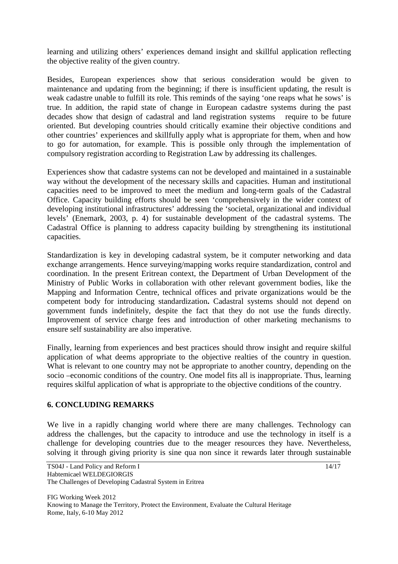learning and utilizing others' experiences demand insight and skillful application reflecting the objective reality of the given country.

Besides, European experiences show that serious consideration would be given to maintenance and updating from the beginning; if there is insufficient updating, the result is weak cadastre unable to fulfill its role. This reminds of the saying 'one reaps what he sows' is true. In addition, the rapid state of change in European cadastre systems during the past decades show that design of cadastral and land registration systems require to be future oriented. But developing countries should critically examine their objective conditions and other countries' experiences and skillfully apply what is appropriate for them, when and how to go for automation, for example. This is possible only through the implementation of compulsory registration according to Registration Law by addressing its challenges.

Experiences show that cadastre systems can not be developed and maintained in a sustainable way without the development of the necessary skills and capacities. Human and institutional capacities need to be improved to meet the medium and long-term goals of the Cadastral Office. Capacity building efforts should be seen 'comprehensively in the wider context of developing institutional infrastructures' addressing the 'societal, organizational and individual levels' (Enemark, 2003, p. 4) for sustainable development of the cadastral systems. The Cadastral Office is planning to address capacity building by strengthening its institutional capacities.

Standardization is key in developing cadastral system, be it computer networking and data exchange arrangements. Hence surveying/mapping works require standardization, control and coordination. In the present Eritrean context, the Department of Urban Development of the Ministry of Public Works in collaboration with other relevant government bodies, like the Mapping and Information Centre, technical offices and private organizations would be the competent body for introducing standardization**.** Cadastral systems should not depend on government funds indefinitely, despite the fact that they do not use the funds directly. Improvement of service charge fees and introduction of other marketing mechanisms to ensure self sustainability are also imperative.

Finally, learning from experiences and best practices should throw insight and require skilful application of what deems appropriate to the objective realties of the country in question. What is relevant to one country may not be appropriate to another country, depending on the socio –economic conditions of the country. One model fits all is inappropriate. Thus, learning requires skilful application of what is appropriate to the objective conditions of the country.

#### **6. CONCLUDING REMARKS**

We live in a rapidly changing world where there are many challenges. Technology can address the challenges, but the capacity to introduce and use the technology in itself is a challenge for developing countries due to the meager resources they have. Nevertheless, solving it through giving priority is sine qua non since it rewards later through sustainable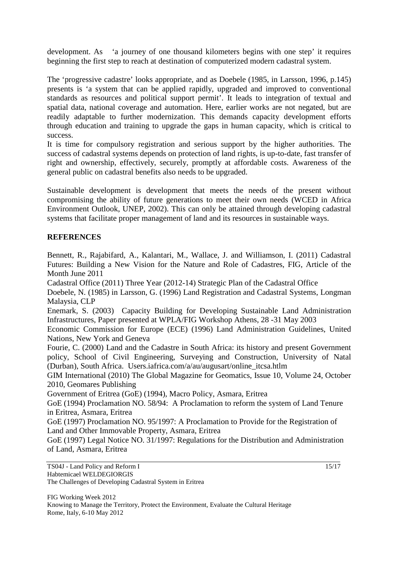development. As 'a journey of one thousand kilometers begins with one step' it requires beginning the first step to reach at destination of computerized modern cadastral system.

The 'progressive cadastre' looks appropriate, and as Doebele (1985, in Larsson, 1996, p.145) presents is 'a system that can be applied rapidly, upgraded and improved to conventional standards as resources and political support permit'. It leads to integration of textual and spatial data, national coverage and automation. Here, earlier works are not negated, but are readily adaptable to further modernization. This demands capacity development efforts through education and training to upgrade the gaps in human capacity, which is critical to success.

It is time for compulsory registration and serious support by the higher authorities. The success of cadastral systems depends on protection of land rights, is up-to-date, fast transfer of right and ownership, effectively, securely, promptly at affordable costs. Awareness of the general public on cadastral benefits also needs to be upgraded.

Sustainable development is development that meets the needs of the present without compromising the ability of future generations to meet their own needs (WCED in Africa Environment Outlook, UNEP, 2002). This can only be attained through developing cadastral systems that facilitate proper management of land and its resources in sustainable ways.

# **REFERENCES**

Bennett, R., Rajabifard, A., Kalantari, M., Wallace, J. and Williamson, I. (2011) Cadastral Futures: Building a New Vision for the Nature and Role of Cadastres, FIG, Article of the Month June 2011

Cadastral Office (2011) Three Year (2012-14) Strategic Plan of the Cadastral Office

Doebele, N. (1985) in Larsson, G. (1996) Land Registration and Cadastral Systems, Longman Malaysia, CLP

Enemark, S. (2003) Capacity Building for Developing Sustainable Land Administration Infrastructures, Paper presented at WPLA/FIG Workshop Athens, 28 -31 May 2003

Economic Commission for Europe (ECE) (1996) Land Administration Guidelines, United Nations, New York and Geneva

Fourie, C. (2000) Land and the Cadastre in South Africa: its history and present Government policy, School of Civil Engineering, Surveying and Construction, University of Natal (Durban), South Africa. Users.iafrica.com/a/au/augusart/online\_itcsa.htlm

GIM International (2010) The Global Magazine for Geomatics, Issue 10, Volume 24, October 2010, Geomares Publishing

Government of Eritrea (GoE) (1994), Macro Policy, Asmara, Eritrea

GoE (1994) Proclamation NO. 58/94: A Proclamation to reform the system of Land Tenure in Eritrea, Asmara, Eritrea

GoE (1997) Proclamation NO. 95/1997: A Proclamation to Provide for the Registration of Land and Other Immovable Property, Asmara, Eritrea

GoE (1997) Legal Notice NO. 31/1997: Regulations for the Distribution and Administration of Land, Asmara, Eritrea

TS04J - Land Policy and Reform I Habtemicael WELDEGIORGIS The Challenges of Developing Cadastral System in Eritrea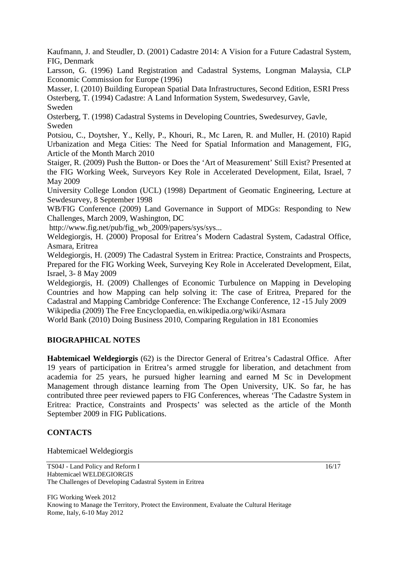Kaufmann, J. and Steudler, D. (2001) Cadastre 2014: A Vision for a Future Cadastral System, FIG, Denmark

Larsson, G. (1996) Land Registration and Cadastral Systems, Longman Malaysia, CLP Economic Commission for Europe (1996)

Masser, I. (2010) Building European Spatial Data Infrastructures, Second Edition, ESRI Press Osterberg, T. (1994) Cadastre: A Land Information System, Swedesurvey, Gavle, Sweden

Osterberg, T. (1998) Cadastral Systems in Developing Countries, Swedesurvey, Gavle, Sweden

Potsiou, C., Doytsher, Y., Kelly, P., Khouri, R., Mc Laren, R. and Muller, H. (2010) Rapid Urbanization and Mega Cities: The Need for Spatial Information and Management, FIG, Article of the Month March 2010

Staiger, R. (2009) Push the Button- or Does the 'Art of Measurement' Still Exist? Presented at the FIG Working Week, Surveyors Key Role in Accelerated Development, Eilat, Israel, 7 May 2009

University College London (UCL) (1998) Department of Geomatic Engineering, Lecture at Sewdesurvey, 8 September 1998

WB/FIG Conference (2009) Land Governance in Support of MDGs: Responding to New Challenges, March 2009, Washington, DC

http://www.fig.net/pub/fig\_wb\_2009/papers/sys/sys...

Weldegiorgis, H. (2000) Proposal for Eritrea's Modern Cadastral System, Cadastral Office, Asmara, Eritrea

Weldegiorgis, H. (2009) The Cadastral System in Eritrea: Practice, Constraints and Prospects, Prepared for the FIG Working Week, Surveying Key Role in Accelerated Development, Eilat, Israel, 3- 8 May 2009

Weldegiorgis, H. (2009) Challenges of Economic Turbulence on Mapping in Developing Countries and how Mapping can help solving it: The case of Eritrea, Prepared for the Cadastral and Mapping Cambridge Conference: The Exchange Conference, 12 -15 July 2009 Wikipedia (2009) The Free Encyclopaedia, en.wikipedia.org/wiki/Asmara

World Bank (2010) Doing Business 2010, Comparing Regulation in 181 Economies

# **BIOGRAPHICAL NOTES**

**Habtemicael Weldegiorgis** (62) is the Director General of Eritrea's Cadastral Office. After 19 years of participation in Eritrea's armed struggle for liberation, and detachment from academia for 25 years, he pursued higher learning and earned M Sc in Development Management through distance learning from The Open University, UK. So far, he has contributed three peer reviewed papers to FIG Conferences, whereas 'The Cadastre System in Eritrea: Practice, Constraints and Prospects' was selected as the article of the Month September 2009 in FIG Publications.

# **CONTACTS**

Habtemicael Weldegiorgis

TS04J - Land Policy and Reform I Habtemicael WELDEGIORGIS The Challenges of Developing Cadastral System in Eritrea

FIG Working Week 2012 Knowing to Manage the Territory, Protect the Environment, Evaluate the Cultural Heritage Rome, Italy, 6-10 May 2012